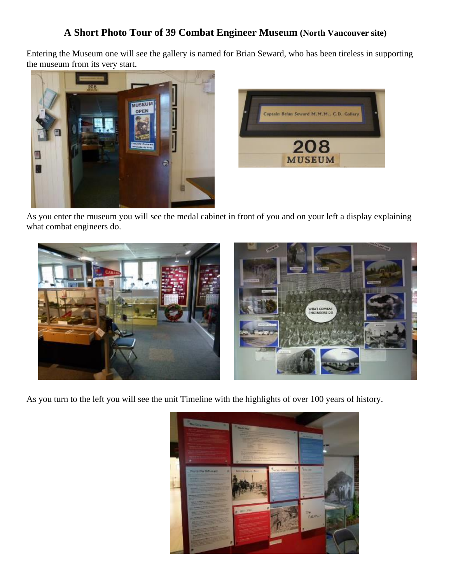## **A Short Photo Tour of 39 Combat Engineer Museum (North Vancouver site)**

Entering the Museum one will see the gallery is named for Brian Seward, who has been tireless in supporting the museum from its very start.





As you enter the museum you will see the medal cabinet in front of you and on your left a display explaining what combat engineers do.



As you turn to the left you will see the unit Timeline with the highlights of over 100 years of history.

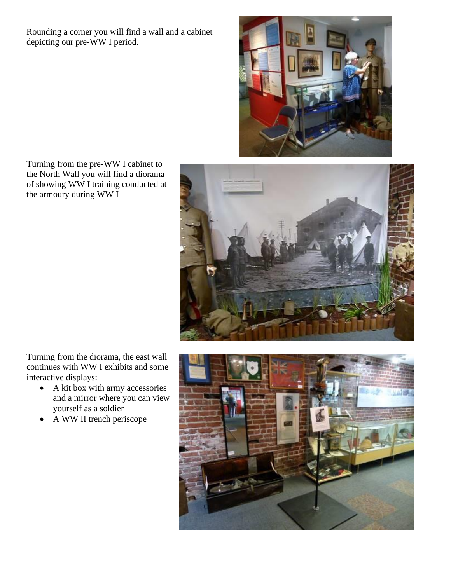Rounding a corner you will find a wall and a cabinet depicting our pre-WW I period.



Turning from the pre-WW I cabinet to the North Wall you will find a diorama of showing WW I training conducted at the armoury during WW I



Turning from the diorama, the east wall continues with WW I exhibits and some interactive displays:

- A kit box with army accessories and a mirror where you can view yourself as a soldier
- A WW II trench periscope

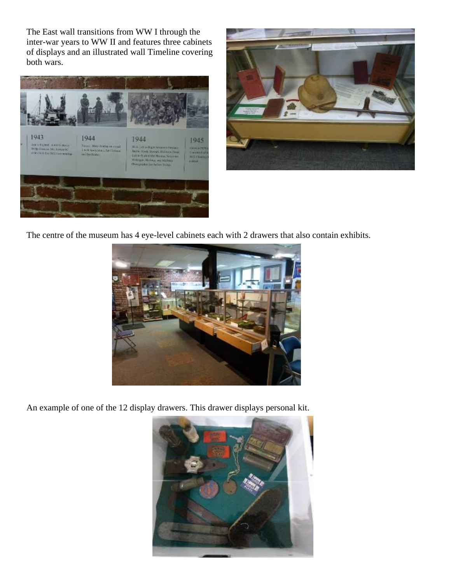The East wall transitions from WW I through the inter-war years to WW II and features three cabinets of displays and an illustrated wall Timeline covering both wars.





The centre of the museum has 4 eye-level cabinets each with 2 drawers that also contain exhibits.



An example of one of the 12 display drawers. This drawer displays personal kit.

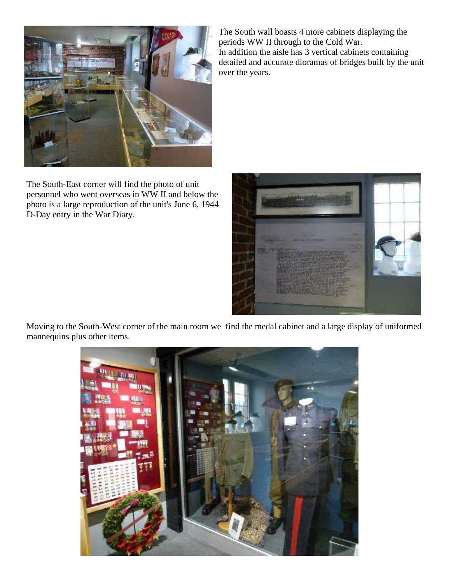

The South-East corner will find the photo of unit personnel who went overseas in WW II and below the photo is a large reproduction of the unit's June 6, 1944 D-Day entry in the War Diary.

The South wall boasts 4 more cabinets displaying the periods WW II through to the Cold War. In addition the aisle has 3 vertical cabinets containing detailed and accurate dioramas of bridges built by the unit over the years.



Moving to the South-West corner of the main room we find the medal cabinet and a large display of uniformed mannequins plus other items.

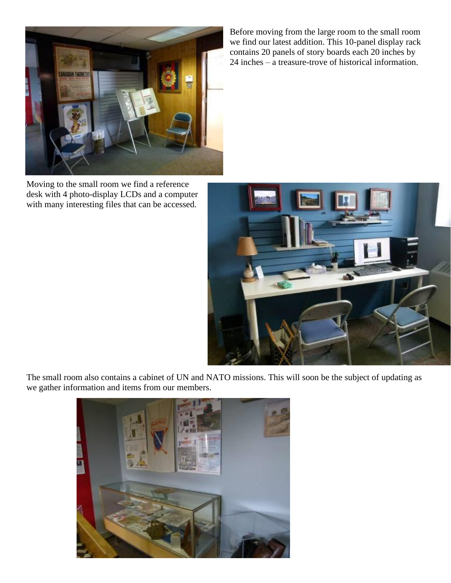

Before moving from the large room to the small room we find our latest addition. This 10-panel display rack contains 20 panels of story boards each 20 inches by 24 inches – a treasure-trove of historical information.

Moving to the small room we find a reference desk with 4 photo-display LCDs and a computer with many interesting files that can be accessed.



The small room also contains a cabinet of UN and NATO missions. This will soon be the subject of updating as we gather information and items from our members.